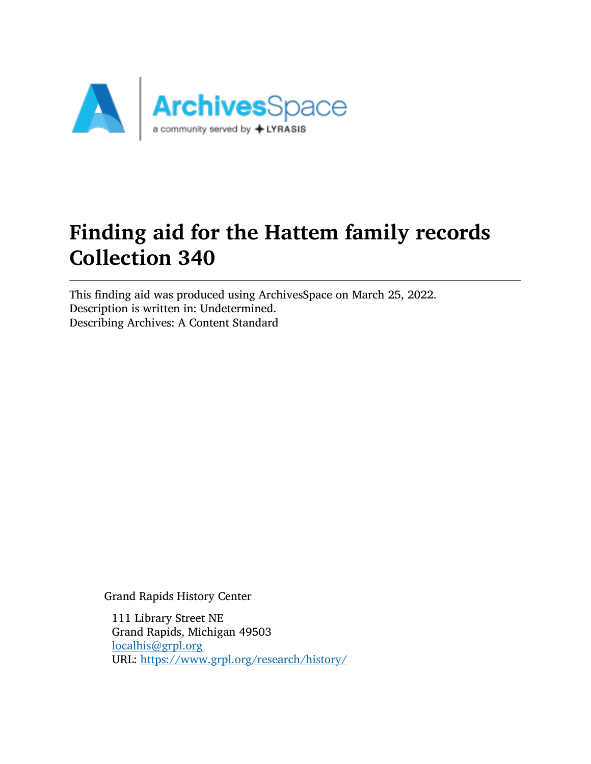

# Finding aid for the Hattem family records Collection 340

This finding aid was produced using ArchivesSpace on March 25, 2022. Description is written in: Undetermined. Describing Archives: A Content Standard

Grand Rapids History Center

111 Library Street NE Grand Rapids, Michigan 49503 [localhis@grpl.org](mailto:localhis@grpl.org) URL: <https://www.grpl.org/research/history/>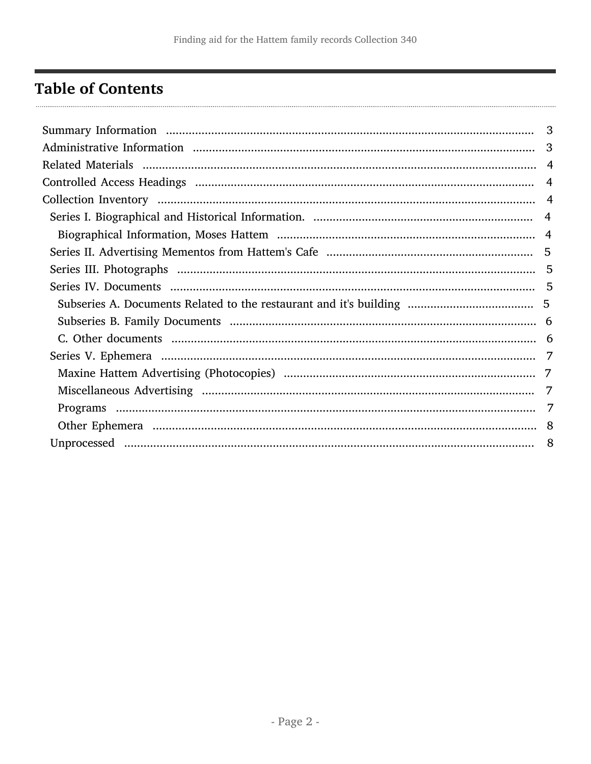## <span id="page-1-0"></span>**Table of Contents**

| 3 |
|---|
|   |
|   |
|   |
|   |
|   |
|   |
|   |
|   |
|   |
|   |
|   |
|   |
|   |
|   |
|   |
| 7 |
|   |
|   |
|   |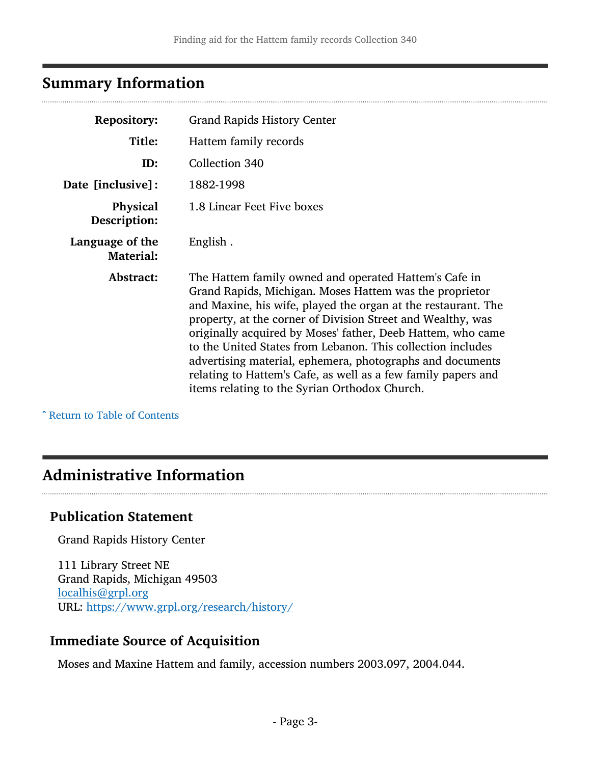## <span id="page-2-0"></span>Summary Information

| <b>Repository:</b>                  | <b>Grand Rapids History Center</b>                                                                                                                                                                                                                                                                                                                                                                                                                                                                                                                            |
|-------------------------------------|---------------------------------------------------------------------------------------------------------------------------------------------------------------------------------------------------------------------------------------------------------------------------------------------------------------------------------------------------------------------------------------------------------------------------------------------------------------------------------------------------------------------------------------------------------------|
| Title:                              | Hattem family records                                                                                                                                                                                                                                                                                                                                                                                                                                                                                                                                         |
| ID:                                 | Collection 340                                                                                                                                                                                                                                                                                                                                                                                                                                                                                                                                                |
| Date [inclusive]:                   | 1882-1998                                                                                                                                                                                                                                                                                                                                                                                                                                                                                                                                                     |
| Physical<br>Description:            | 1.8 Linear Feet Five boxes                                                                                                                                                                                                                                                                                                                                                                                                                                                                                                                                    |
| Language of the<br><b>Material:</b> | English.                                                                                                                                                                                                                                                                                                                                                                                                                                                                                                                                                      |
| Abstract:                           | The Hattem family owned and operated Hattem's Cafe in<br>Grand Rapids, Michigan. Moses Hattem was the proprietor<br>and Maxine, his wife, played the organ at the restaurant. The<br>property, at the corner of Division Street and Wealthy, was<br>originally acquired by Moses' father, Deeb Hattem, who came<br>to the United States from Lebanon. This collection includes<br>advertising material, ephemera, photographs and documents<br>relating to Hattem's Cafe, as well as a few family papers and<br>items relating to the Syrian Orthodox Church. |

^ [Return to Table of Contents](#page-1-0)

## <span id="page-2-1"></span>Administrative Information

## Publication Statement

Grand Rapids History Center

111 Library Street NE Grand Rapids, Michigan 49503 [localhis@grpl.org](mailto:localhis@grpl.org) URL: <https://www.grpl.org/research/history/>

#### Immediate Source of Acquisition

Moses and Maxine Hattem and family, accession numbers 2003.097, 2004.044.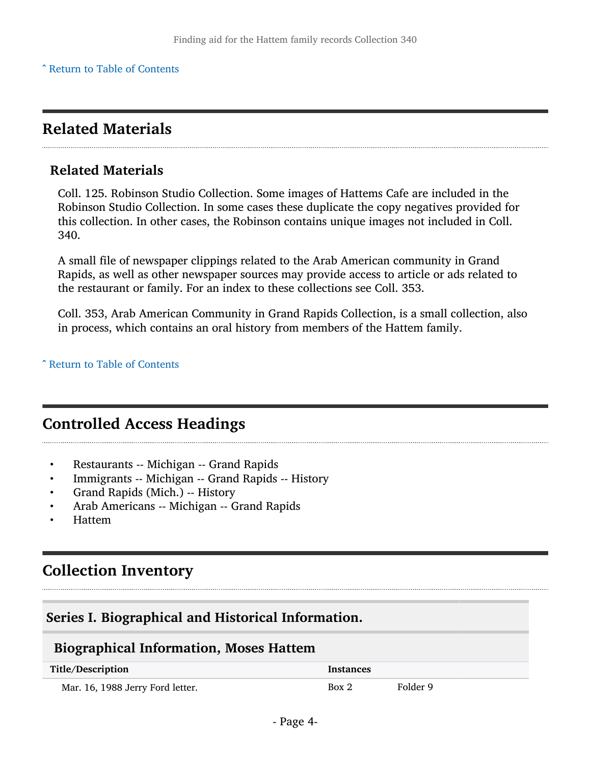## <span id="page-3-0"></span>Related Materials

#### Related Materials

Coll. 125. Robinson Studio Collection. Some images of Hattems Cafe are included in the Robinson Studio Collection. In some cases these duplicate the copy negatives provided for this collection. In other cases, the Robinson contains unique images not included in Coll. 340.

A small file of newspaper clippings related to the Arab American community in Grand Rapids, as well as other newspaper sources may provide access to article or ads related to the restaurant or family. For an index to these collections see Coll. 353.

Coll. 353, Arab American Community in Grand Rapids Collection, is a small collection, also in process, which contains an oral history from members of the Hattem family.

^ [Return to Table of Contents](#page-1-0)

## <span id="page-3-1"></span>Controlled Access Headings

- Restaurants -- Michigan -- Grand Rapids
- Immigrants -- Michigan -- Grand Rapids -- History
- Grand Rapids (Mich.) -- History
- Arab Americans -- Michigan -- Grand Rapids
- Hattem

## <span id="page-3-2"></span>Collection Inventory

#### <span id="page-3-3"></span>Series I. Biographical and Historical Information.

#### <span id="page-3-4"></span>Biographical Information, Moses Hattem

| Title/Description                | Instances |          |
|----------------------------------|-----------|----------|
| Mar. 16, 1988 Jerry Ford letter. | Box 2     | Folder 9 |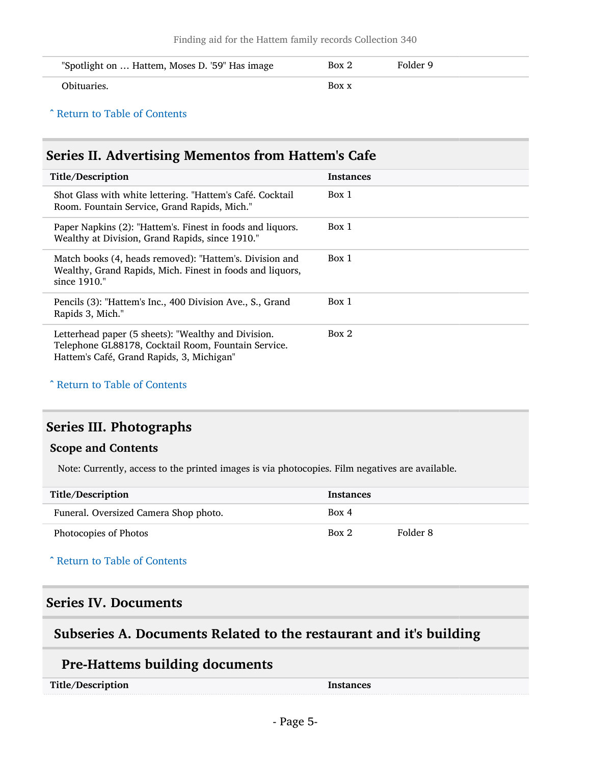| "Spotlight on  Hattem, Moses D. '59" Has image | Box 2 | Folder 9 |
|------------------------------------------------|-------|----------|
| Obituaries.                                    | Box x |          |

### <span id="page-4-0"></span>Series II. Advertising Mementos from Hattem's Cafe

| Title/Description                                                                                                                                       | <b>Instances</b> |
|---------------------------------------------------------------------------------------------------------------------------------------------------------|------------------|
| Shot Glass with white lettering. "Hattem's Café. Cocktail<br>Room. Fountain Service, Grand Rapids, Mich."                                               | Box 1            |
| Paper Napkins (2): "Hattem's. Finest in foods and liquors.<br>Wealthy at Division, Grand Rapids, since 1910."                                           | Box 1            |
| Match books (4, heads removed): "Hattem's. Division and<br>Wealthy, Grand Rapids, Mich. Finest in foods and liquors,<br>since 1910."                    | Box 1            |
| Pencils (3): "Hattem's Inc., 400 Division Ave., S., Grand<br>Rapids 3, Mich."                                                                           | Box 1            |
| Letterhead paper (5 sheets): "Wealthy and Division.<br>Telephone GL88178, Cocktail Room, Fountain Service.<br>Hattem's Café, Grand Rapids, 3, Michigan" | Box 2            |

^ [Return to Table of Contents](#page-1-0)

### <span id="page-4-1"></span>Series III. Photographs

#### Scope and Contents

Note: Currently, access to the printed images is via photocopies. Film negatives are available.

| Title/Description                     | <b>Instances</b> |          |
|---------------------------------------|------------------|----------|
| Funeral. Oversized Camera Shop photo. | Box 4            |          |
| Photocopies of Photos                 | Box 2            | Folder 8 |

#### ^ [Return to Table of Contents](#page-1-0)

#### <span id="page-4-2"></span>Series IV. Documents

#### <span id="page-4-3"></span>Subseries A. Documents Related to the restaurant and it's building

#### Pre-Hattems building documents

| Title/Description | Instances |
|-------------------|-----------|
|                   |           |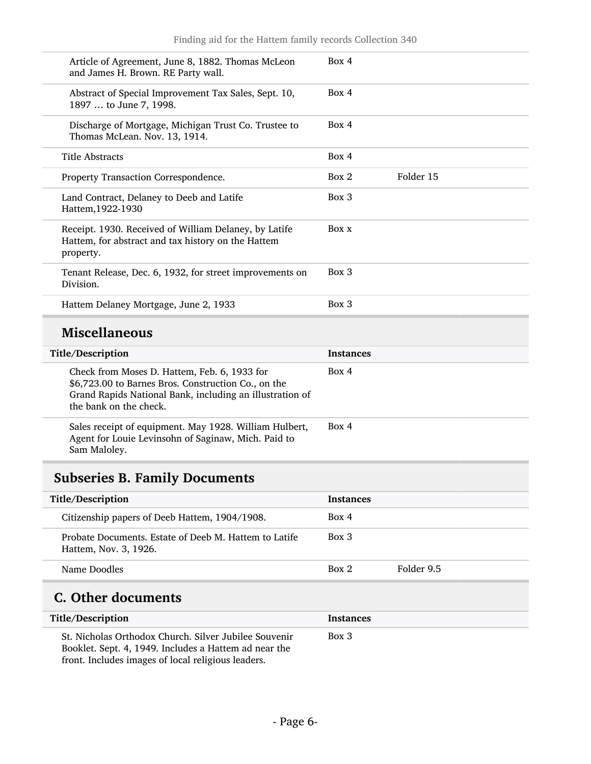| Article of Agreement, June 8, 1882. Thomas McLeon<br>and James H. Brown. RE Party wall.                                                                                                   | Box 4            |           |
|-------------------------------------------------------------------------------------------------------------------------------------------------------------------------------------------|------------------|-----------|
| Abstract of Special Improvement Tax Sales, Sept. 10,<br>1897  to June 7, 1998.                                                                                                            | Box 4            |           |
| Discharge of Mortgage, Michigan Trust Co. Trustee to<br>Thomas McLean. Nov. 13, 1914.                                                                                                     | Box 4            |           |
| <b>Title Abstracts</b>                                                                                                                                                                    | Box 4            |           |
| Property Transaction Correspondence.                                                                                                                                                      | Box 2            | Folder 15 |
| Land Contract, Delaney to Deeb and Latife<br>Hattem, 1922-1930                                                                                                                            | Box 3            |           |
| Receipt. 1930. Received of William Delaney, by Latife<br>Hattem, for abstract and tax history on the Hattem<br>property.                                                                  | Box x            |           |
| Tenant Release, Dec. 6, 1932, for street improvements on<br>Division.                                                                                                                     | Box 3            |           |
| Hattem Delaney Mortgage, June 2, 1933                                                                                                                                                     | Box 3            |           |
| <b>Miscellaneous</b>                                                                                                                                                                      |                  |           |
| Title/Description                                                                                                                                                                         | Instances        |           |
| Check from Moses D. Hattem, Feb. 6, 1933 for<br>\$6,723.00 to Barnes Bros. Construction Co., on the<br>Grand Rapids National Bank, including an illustration of<br>the bank on the check. | Box 4            |           |
| Sales receipt of equipment. May 1928. William Hulbert,<br>Agent for Louie Levinsohn of Saginaw, Mich. Paid to<br>Sam Maloley.                                                             | Box 4            |           |
| <b>Subseries B. Family Documents</b>                                                                                                                                                      |                  |           |
| Title/Description                                                                                                                                                                         | <b>Instances</b> |           |
| Citizenship papers of Deeb Hattem, 1904/1908.                                                                                                                                             | Box 4            |           |
| Probate Documents. Estate of Deeb M. Hattem to Latife<br>Hattem, Nov. 3, 1926.                                                                                                            | Box 3            |           |

#### <span id="page-5-0"></span>Name Doodles Box 2 Folder 9.5

## <span id="page-5-1"></span>C. Other documents

| Title/Description                                                                                                                                                    | <b>Instances</b> |
|----------------------------------------------------------------------------------------------------------------------------------------------------------------------|------------------|
| St. Nicholas Orthodox Church. Silver Jubilee Souvenir<br>Booklet. Sept. 4, 1949. Includes a Hattem ad near the<br>front. Includes images of local religious leaders. | Box 3            |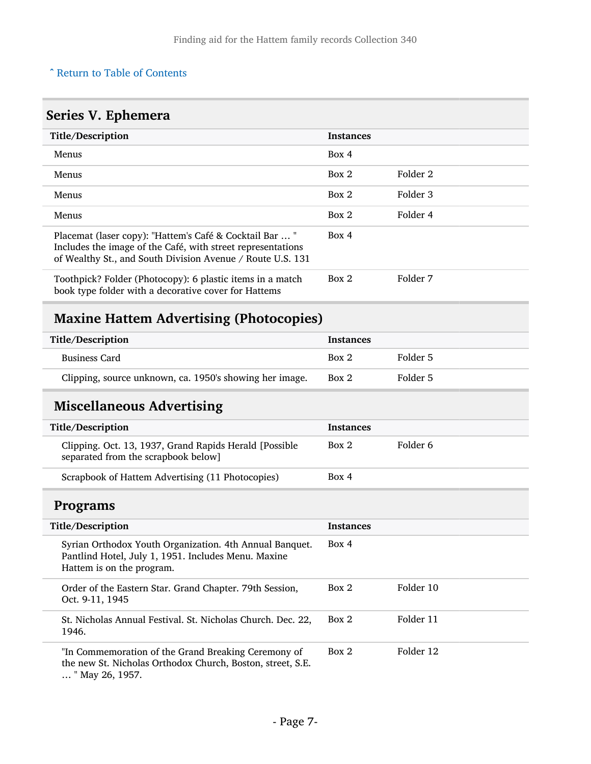## <span id="page-6-0"></span>Series V. Ephemera

| Title/Description                                                                                                                                                                    | <b>Instances</b> |          |
|--------------------------------------------------------------------------------------------------------------------------------------------------------------------------------------|------------------|----------|
| <b>Menus</b>                                                                                                                                                                         | Box 4            |          |
| <b>Menus</b>                                                                                                                                                                         | Box 2            | Folder 2 |
| <b>Menus</b>                                                                                                                                                                         | Box 2            | Folder 3 |
| <b>Menus</b>                                                                                                                                                                         | Box 2            | Folder 4 |
| Placemat (laser copy): "Hattem's Café & Cocktail Bar  "<br>Includes the image of the Café, with street representations<br>of Wealthy St., and South Division Avenue / Route U.S. 131 | Box 4            |          |
| Toothpick? Folder (Photocopy): 6 plastic items in a match<br>book type folder with a decorative cover for Hattems                                                                    | Box 2            | Folder 7 |

## <span id="page-6-1"></span>Maxine Hattem Advertising (Photocopies)

| Title/Description                                       | <b>Instances</b> |          |
|---------------------------------------------------------|------------------|----------|
| <b>Business Card</b>                                    | Box 2            | Folder 5 |
| Clipping, source unknown, ca. 1950's showing her image. | Box 2            | Folder 5 |

## <span id="page-6-2"></span>Miscellaneous Advertising

| Title/Description                                                                             | <b>Instances</b> |          |
|-----------------------------------------------------------------------------------------------|------------------|----------|
| Clipping. Oct. 13, 1937, Grand Rapids Herald [Possible<br>separated from the scrapbook below] | Box 2            | Folder 6 |
| Scrapbook of Hattem Advertising (11 Photocopies)                                              | Box 4            |          |

### <span id="page-6-3"></span>Programs

| Title/Description                                                                                                                           | <b>Instances</b> |           |
|---------------------------------------------------------------------------------------------------------------------------------------------|------------------|-----------|
| Syrian Orthodox Youth Organization. 4th Annual Banquet.<br>Pantlind Hotel, July 1, 1951. Includes Menu. Maxine<br>Hattem is on the program. | Box 4            |           |
| Order of the Eastern Star. Grand Chapter. 79th Session,<br>Oct. 9-11, 1945                                                                  | Box 2            | Folder 10 |
| St. Nicholas Annual Festival. St. Nicholas Church. Dec. 22,<br>1946.                                                                        | Box 2            | Folder 11 |
| "In Commemoration of the Grand Breaking Ceremony of<br>the new St. Nicholas Orthodox Church, Boston, street, S.E.<br>" May 26, 1957.        | Box 2            | Folder 12 |